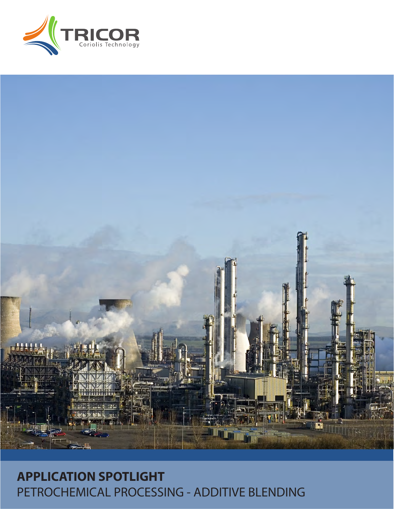# RICOR



## **APPLICATION SPOTLIGHT** PETROCHEMICAL PROCESSING - ADDITIVE BLENDING